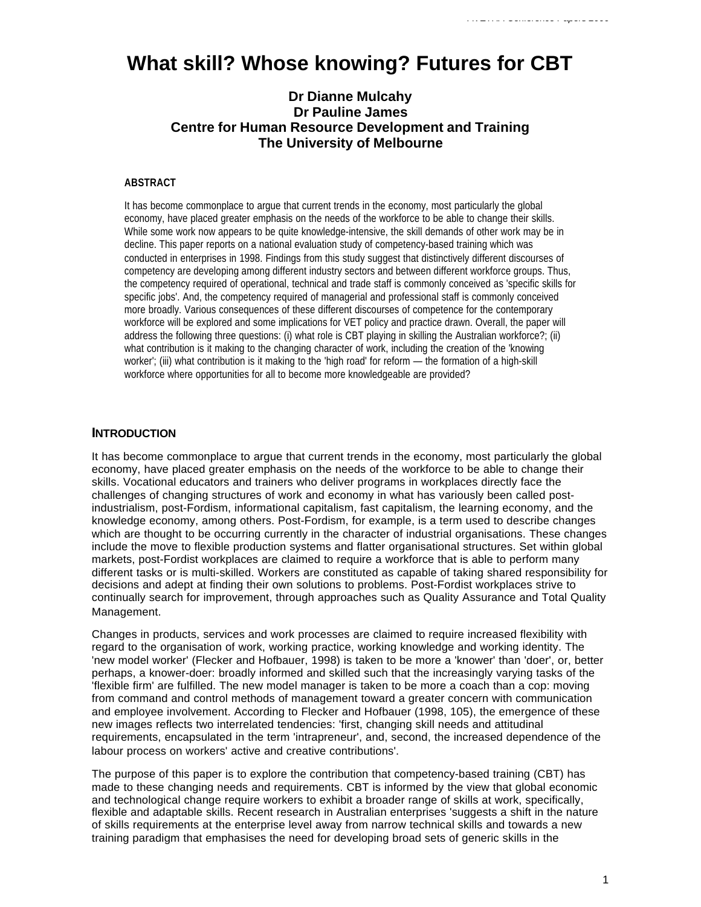# **What skill? Whose knowing? Futures for CBT**

# **Dr Dianne Mulcahy Dr Pauline James Centre for Human Resource Development and Training The University of Melbourne**

#### **ABSTRACT**

It has become commonplace to argue that current trends in the economy, most particularly the global economy, have placed greater emphasis on the needs of the workforce to be able to change their skills. While some work now appears to be quite knowledge-intensive, the skill demands of other work may be in decline. This paper reports on a national evaluation study of competency-based training which was conducted in enterprises in 1998. Findings from this study suggest that distinctively different discourses of competency are developing among different industry sectors and between different workforce groups. Thus, the competency required of operational, technical and trade staff is commonly conceived as 'specific skills for specific jobs'. And, the competency required of managerial and professional staff is commonly conceived more broadly. Various consequences of these different discourses of competence for the contemporary workforce will be explored and some implications for VET policy and practice drawn. Overall, the paper will address the following three questions: (i) what role is CBT playing in skilling the Australian workforce?; (ii) what contribution is it making to the changing character of work, including the creation of the 'knowing worker'; (iii) what contribution is it making to the 'high road' for reform — the formation of a high-skill workforce where opportunities for all to become more knowledgeable are provided?

#### **INTRODUCTION**

It has become commonplace to argue that current trends in the economy, most particularly the global economy, have placed greater emphasis on the needs of the workforce to be able to change their skills. Vocational educators and trainers who deliver programs in workplaces directly face the challenges of changing structures of work and economy in what has variously been called postindustrialism, post-Fordism, informational capitalism, fast capitalism, the learning economy, and the knowledge economy, among others. Post-Fordism, for example, is a term used to describe changes which are thought to be occurring currently in the character of industrial organisations. These changes include the move to flexible production systems and flatter organisational structures. Set within global markets, post-Fordist workplaces are claimed to require a workforce that is able to perform many different tasks or is multi-skilled. Workers are constituted as capable of taking shared responsibility for decisions and adept at finding their own solutions to problems. Post-Fordist workplaces strive to continually search for improvement, through approaches such as Quality Assurance and Total Quality Management.

Changes in products, services and work processes are claimed to require increased flexibility with regard to the organisation of work, working practice, working knowledge and working identity. The 'new model worker' (Flecker and Hofbauer, 1998) is taken to be more a 'knower' than 'doer', or, better perhaps, a knower-doer: broadly informed and skilled such that the increasingly varying tasks of the 'flexible firm' are fulfilled. The new model manager is taken to be more a coach than a cop: moving from command and control methods of management toward a greater concern with communication and employee involvement. According to Flecker and Hofbauer (1998, 105), the emergence of these new images reflects two interrelated tendencies: 'first, changing skill needs and attitudinal requirements, encapsulated in the term 'intrapreneur', and, second, the increased dependence of the labour process on workers' active and creative contributions'.

The purpose of this paper is to explore the contribution that competency-based training (CBT) has made to these changing needs and requirements. CBT is informed by the view that global economic and technological change require workers to exhibit a broader range of skills at work, specifically, flexible and adaptable skills. Recent research in Australian enterprises 'suggests a shift in the nature of skills requirements at the enterprise level away from narrow technical skills and towards a new training paradigm that emphasises the need for developing broad sets of generic skills in the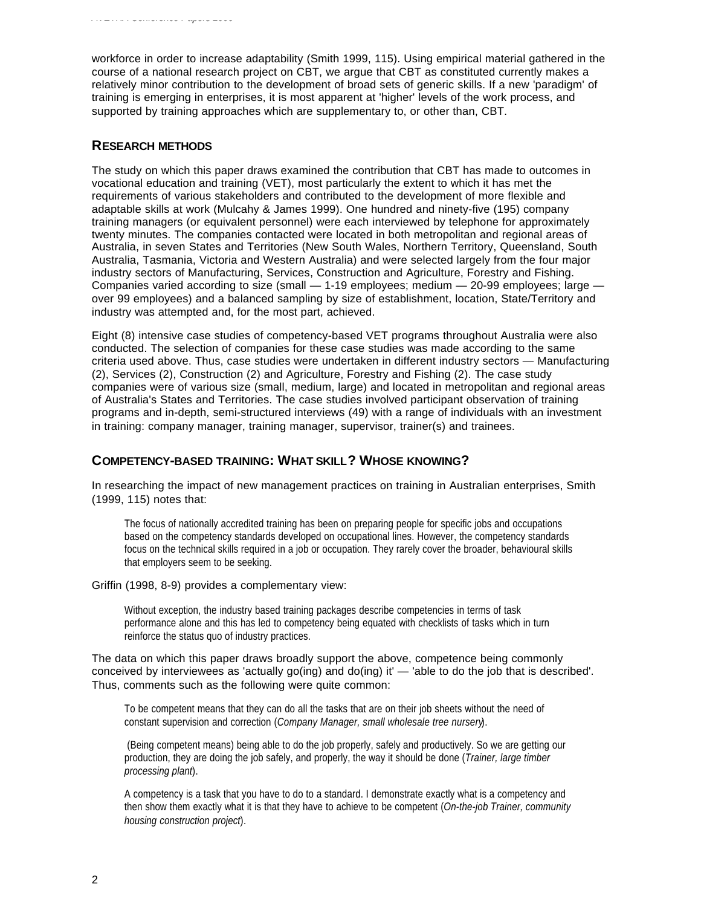workforce in order to increase adaptability (Smith 1999, 115). Using empirical material gathered in the course of a national research project on CBT, we argue that CBT as constituted currently makes a relatively minor contribution to the development of broad sets of generic skills. If a new 'paradigm' of training is emerging in enterprises, it is most apparent at 'higher' levels of the work process, and supported by training approaches which are supplementary to, or other than, CBT.

## **RESEARCH METHODS**

The study on which this paper draws examined the contribution that CBT has made to outcomes in vocational education and training (VET), most particularly the extent to which it has met the requirements of various stakeholders and contributed to the development of more flexible and adaptable skills at work (Mulcahy & James 1999). One hundred and ninety-five (195) company training managers (or equivalent personnel) were each interviewed by telephone for approximately twenty minutes. The companies contacted were located in both metropolitan and regional areas of Australia, in seven States and Territories (New South Wales, Northern Territory, Queensland, South Australia, Tasmania, Victoria and Western Australia) and were selected largely from the four major industry sectors of Manufacturing, Services, Construction and Agriculture, Forestry and Fishing. Companies varied according to size (small — 1-19 employees; medium — 20-99 employees; large over 99 employees) and a balanced sampling by size of establishment, location, State/Territory and industry was attempted and, for the most part, achieved.

Eight (8) intensive case studies of competency-based VET programs throughout Australia were also conducted. The selection of companies for these case studies was made according to the same criteria used above. Thus, case studies were undertaken in different industry sectors — Manufacturing (2), Services (2), Construction (2) and Agriculture, Forestry and Fishing (2). The case study companies were of various size (small, medium, large) and located in metropolitan and regional areas of Australia's States and Territories. The case studies involved participant observation of training programs and in-depth, semi-structured interviews (49) with a range of individuals with an investment in training: company manager, training manager, supervisor, trainer(s) and trainees.

#### **COMPETENCY-BASED TRAINING: WHAT SKILL? WHOSE KNOWING?**

In researching the impact of new management practices on training in Australian enterprises, Smith (1999, 115) notes that:

The focus of nationally accredited training has been on preparing people for specific jobs and occupations based on the competency standards developed on occupational lines. However, the competency standards focus on the technical skills required in a job or occupation. They rarely cover the broader, behavioural skills that employers seem to be seeking.

#### Griffin (1998, 8-9) provides a complementary view:

Without exception, the industry based training packages describe competencies in terms of task performance alone and this has led to competency being equated with checklists of tasks which in turn reinforce the status quo of industry practices.

The data on which this paper draws broadly support the above, competence being commonly conceived by interviewees as 'actually go(ing) and do(ing) it' — 'able to do the job that is described'. Thus, comments such as the following were quite common:

To be competent means that they can do all the tasks that are on their job sheets without the need of constant supervision and correction (*Company Manager, small wholesale tree nursery*).

 (Being competent means) being able to do the job properly, safely and productively. So we are getting our production, they are doing the job safely, and properly, the way it should be done (*Trainer, large timber processing plant*).

A competency is a task that you have to do to a standard. I demonstrate exactly what is a competency and then show them exactly what it is that they have to achieve to be competent (*On-the-job Trainer, community housing construction project*).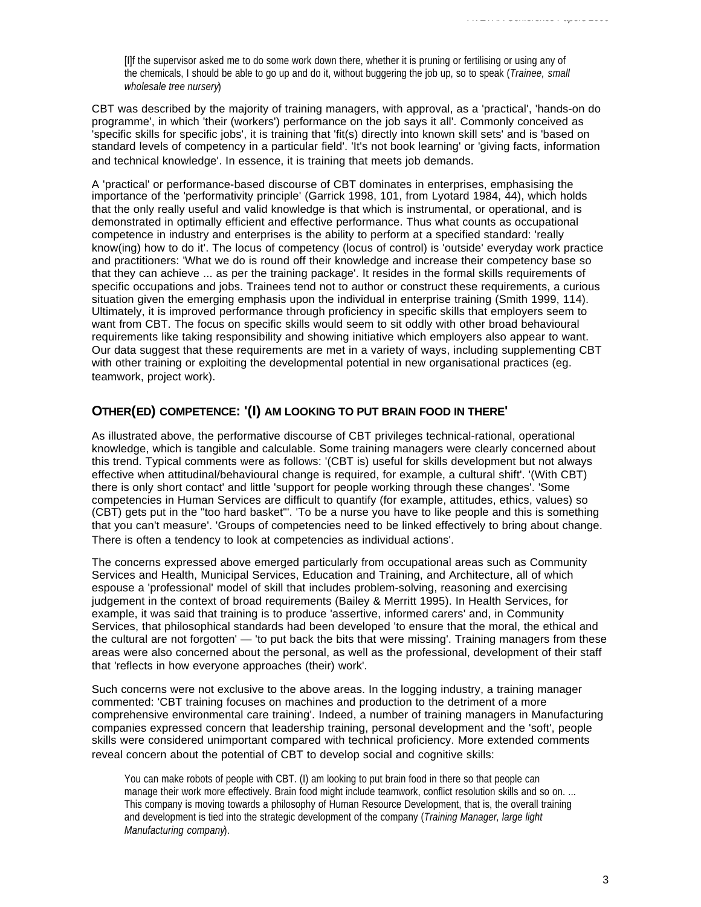[I]f the supervisor asked me to do some work down there, whether it is pruning or fertilising or using any of the chemicals, I should be able to go up and do it, without buggering the job up, so to speak (*Trainee, small wholesale tree nursery*)

CBT was described by the majority of training managers, with approval, as a 'practical', 'hands-on do programme', in which 'their (workers') performance on the job says it all'. Commonly conceived as 'specific skills for specific jobs', it is training that 'fit(s) directly into known skill sets' and is 'based on standard levels of competency in a particular field'. 'It's not book learning' or 'giving facts, information and technical knowledge'. In essence, it is training that meets job demands.

A 'practical' or performance-based discourse of CBT dominates in enterprises, emphasising the importance of the 'performativity principle' (Garrick 1998, 101, from Lyotard 1984, 44), which holds that the only really useful and valid knowledge is that which is instrumental, or operational, and is demonstrated in optimally efficient and effective performance. Thus what counts as occupational competence in industry and enterprises is the ability to perform at a specified standard: 'really know(ing) how to do it'. The locus of competency (locus of control) is 'outside' everyday work practice and practitioners: 'What we do is round off their knowledge and increase their competency base so that they can achieve ... as per the training package'. It resides in the formal skills requirements of specific occupations and jobs. Trainees tend not to author or construct these requirements, a curious situation given the emerging emphasis upon the individual in enterprise training (Smith 1999, 114). Ultimately, it is improved performance through proficiency in specific skills that employers seem to want from CBT. The focus on specific skills would seem to sit oddly with other broad behavioural requirements like taking responsibility and showing initiative which employers also appear to want. Our data suggest that these requirements are met in a variety of ways, including supplementing CBT with other training or exploiting the developmental potential in new organisational practices (eg. teamwork, project work).

## **OTHER(ED) COMPETENCE: '(I) AM LOOKING TO PUT BRAIN FOOD IN THERE'**

As illustrated above, the performative discourse of CBT privileges technical-rational, operational knowledge, which is tangible and calculable. Some training managers were clearly concerned about this trend. Typical comments were as follows: '(CBT is) useful for skills development but not always effective when attitudinal/behavioural change is required, for example, a cultural shift'. '(With CBT) there is only short contact' and little 'support for people working through these changes'. 'Some competencies in Human Services are difficult to quantify (for example, attitudes, ethics, values) so (CBT) gets put in the "too hard basket"'. 'To be a nurse you have to like people and this is something that you can't measure'. 'Groups of competencies need to be linked effectively to bring about change. There is often a tendency to look at competencies as individual actions'.

The concerns expressed above emerged particularly from occupational areas such as Community Services and Health, Municipal Services, Education and Training, and Architecture, all of which espouse a 'professional' model of skill that includes problem-solving, reasoning and exercising judgement in the context of broad requirements (Bailey & Merritt 1995). In Health Services, for example, it was said that training is to produce 'assertive, informed carers' and, in Community Services, that philosophical standards had been developed 'to ensure that the moral, the ethical and the cultural are not forgotten' — 'to put back the bits that were missing'. Training managers from these areas were also concerned about the personal, as well as the professional, development of their staff that 'reflects in how everyone approaches (their) work'.

Such concerns were not exclusive to the above areas. In the logging industry, a training manager commented: 'CBT training focuses on machines and production to the detriment of a more comprehensive environmental care training'. Indeed, a number of training managers in Manufacturing companies expressed concern that leadership training, personal development and the 'soft', people skills were considered unimportant compared with technical proficiency. More extended comments reveal concern about the potential of CBT to develop social and cognitive skills:

You can make robots of people with CBT. (I) am looking to put brain food in there so that people can manage their work more effectively. Brain food might include teamwork, conflict resolution skills and so on. ... This company is moving towards a philosophy of Human Resource Development, that is, the overall training and development is tied into the strategic development of the company (*Training Manager, large light Manufacturing company*).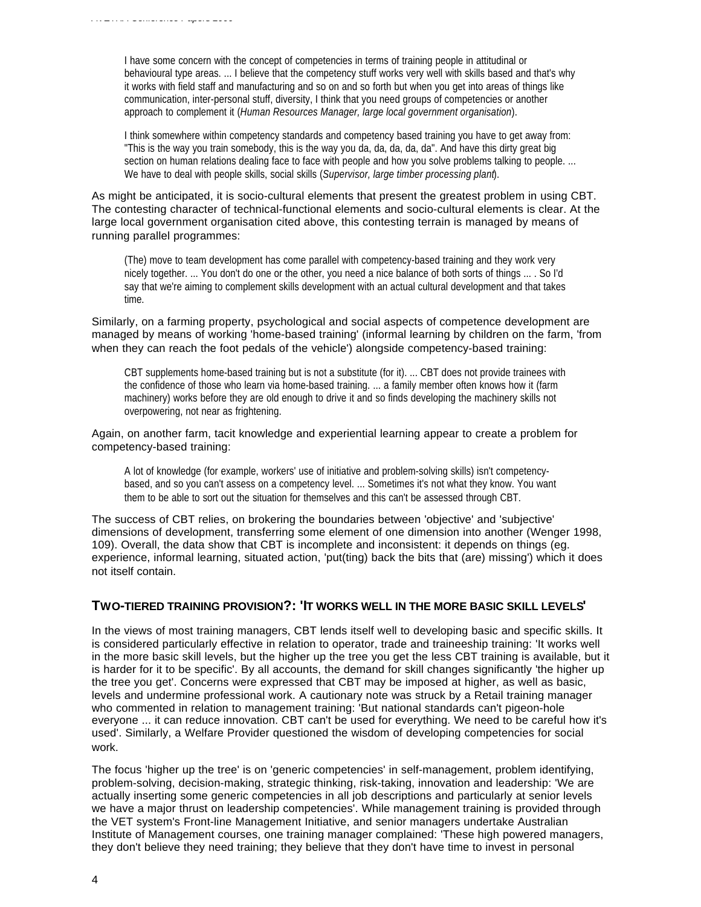I have some concern with the concept of competencies in terms of training people in attitudinal or behavioural type areas. ... I believe that the competency stuff works very well with skills based and that's why it works with field staff and manufacturing and so on and so forth but when you get into areas of things like communication, inter-personal stuff, diversity, I think that you need groups of competencies or another approach to complement it (*Human Resources Manager, large local government organisation*).

I think somewhere within competency standards and competency based training you have to get away from: "This is the way you train somebody, this is the way you da, da, da, da, da". And have this dirty great big section on human relations dealing face to face with people and how you solve problems talking to people. ... We have to deal with people skills, social skills (*Supervisor, large timber processing plant*).

As might be anticipated, it is socio-cultural elements that present the greatest problem in using CBT. The contesting character of technical-functional elements and socio-cultural elements is clear. At the large local government organisation cited above, this contesting terrain is managed by means of running parallel programmes:

(The) move to team development has come parallel with competency-based training and they work very nicely together. ... You don't do one or the other, you need a nice balance of both sorts of things ... . So I'd say that we're aiming to complement skills development with an actual cultural development and that takes time.

Similarly, on a farming property, psychological and social aspects of competence development are managed by means of working 'home-based training' (informal learning by children on the farm, 'from when they can reach the foot pedals of the vehicle') alongside competency-based training:

CBT supplements home-based training but is not a substitute (for it). ... CBT does not provide trainees with the confidence of those who learn via home-based training. ... a family member often knows how it (farm machinery) works before they are old enough to drive it and so finds developing the machinery skills not overpowering, not near as frightening.

#### Again, on another farm, tacit knowledge and experiential learning appear to create a problem for competency-based training:

A lot of knowledge (for example, workers' use of initiative and problem-solving skills) isn't competencybased, and so you can't assess on a competency level. ... Sometimes it's not what they know. You want them to be able to sort out the situation for themselves and this can't be assessed through CBT.

The success of CBT relies, on brokering the boundaries between 'objective' and 'subjective' dimensions of development, transferring some element of one dimension into another (Wenger 1998, 109). Overall, the data show that CBT is incomplete and inconsistent: it depends on things (eg. experience, informal learning, situated action, 'put(ting) back the bits that (are) missing') which it does not itself contain.

## **TWO-TIERED TRAINING PROVISION?: 'IT WORKS WELL IN THE MORE BASIC SKILL LEVELS'**

In the views of most training managers, CBT lends itself well to developing basic and specific skills. It is considered particularly effective in relation to operator, trade and traineeship training: 'It works well in the more basic skill levels, but the higher up the tree you get the less CBT training is available, but it is harder for it to be specific'. By all accounts, the demand for skill changes significantly 'the higher up the tree you get'. Concerns were expressed that CBT may be imposed at higher, as well as basic, levels and undermine professional work. A cautionary note was struck by a Retail training manager who commented in relation to management training: 'But national standards can't pigeon-hole everyone ... it can reduce innovation. CBT can't be used for everything. We need to be careful how it's used'. Similarly, a Welfare Provider questioned the wisdom of developing competencies for social work.

The focus 'higher up the tree' is on 'generic competencies' in self-management, problem identifying, problem-solving, decision-making, strategic thinking, risk-taking, innovation and leadership: 'We are actually inserting some generic competencies in all job descriptions and particularly at senior levels we have a major thrust on leadership competencies'. While management training is provided through the VET system's Front-line Management Initiative, and senior managers undertake Australian Institute of Management courses, one training manager complained: 'These high powered managers, they don't believe they need training; they believe that they don't have time to invest in personal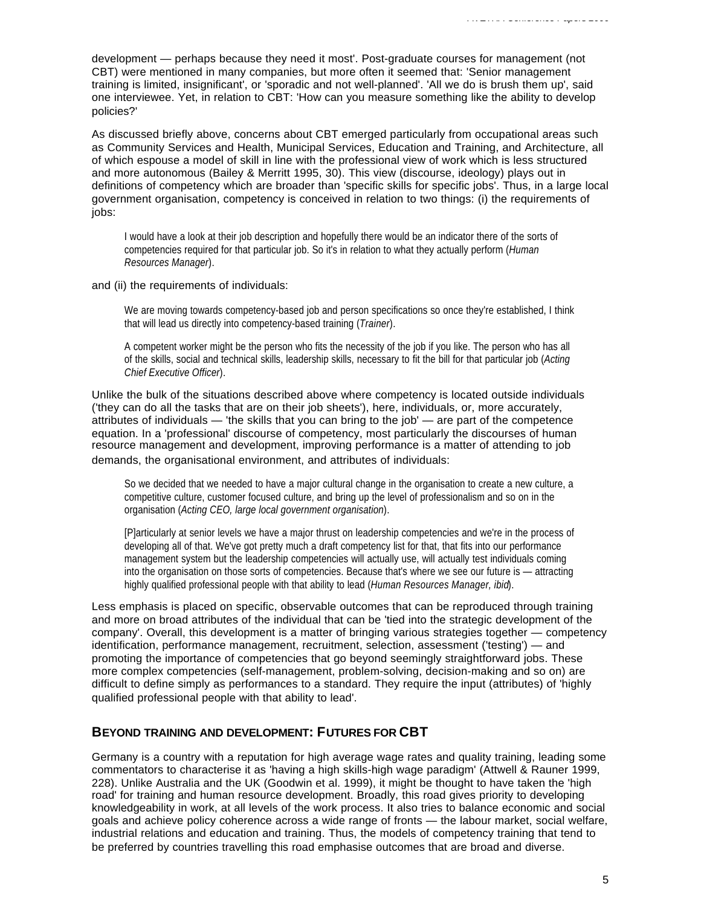development — perhaps because they need it most'. Post-graduate courses for management (not CBT) were mentioned in many companies, but more often it seemed that: 'Senior management training is limited, insignificant', or 'sporadic and not well-planned'. 'All we do is brush them up', said one interviewee. Yet, in relation to CBT: 'How can you measure something like the ability to develop policies?'

As discussed briefly above, concerns about CBT emerged particularly from occupational areas such as Community Services and Health, Municipal Services, Education and Training, and Architecture, all of which espouse a model of skill in line with the professional view of work which is less structured and more autonomous (Bailey & Merritt 1995, 30). This view (discourse, ideology) plays out in definitions of competency which are broader than 'specific skills for specific jobs'. Thus, in a large local government organisation, competency is conceived in relation to two things: (i) the requirements of jobs:

I would have a look at their job description and hopefully there would be an indicator there of the sorts of competencies required for that particular job. So it's in relation to what they actually perform (*Human Resources Manager*).

#### and (ii) the requirements of individuals:

We are moving towards competency-based job and person specifications so once they're established, I think that will lead us directly into competency-based training (*Trainer*).

A competent worker might be the person who fits the necessity of the job if you like. The person who has all of the skills, social and technical skills, leadership skills, necessary to fit the bill for that particular job (*Acting Chief Executive Officer*).

Unlike the bulk of the situations described above where competency is located outside individuals ('they can do all the tasks that are on their job sheets'), here, individuals, or, more accurately, attributes of individuals — 'the skills that you can bring to the job' — are part of the competence equation. In a 'professional' discourse of competency, most particularly the discourses of human resource management and development, improving performance is a matter of attending to job demands, the organisational environment, and attributes of individuals:

So we decided that we needed to have a major cultural change in the organisation to create a new culture, a competitive culture, customer focused culture, and bring up the level of professionalism and so on in the organisation (*Acting CEO, large local government organisation*).

[P]articularly at senior levels we have a major thrust on leadership competencies and we're in the process of developing all of that. We've got pretty much a draft competency list for that, that fits into our performance management system but the leadership competencies will actually use, will actually test individuals coming into the organisation on those sorts of competencies. Because that's where we see our future is — attracting highly qualified professional people with that ability to lead (*Human Resources Manager, ibid*).

Less emphasis is placed on specific, observable outcomes that can be reproduced through training and more on broad attributes of the individual that can be 'tied into the strategic development of the company'. Overall, this development is a matter of bringing various strategies together — competency identification, performance management, recruitment, selection, assessment ('testing') — and promoting the importance of competencies that go beyond seemingly straightforward jobs. These more complex competencies (self-management, problem-solving, decision-making and so on) are difficult to define simply as performances to a standard. They require the input (attributes) of 'highly qualified professional people with that ability to lead'.

## **BEYOND TRAINING AND DEVELOPMENT: FUTURES FOR CBT**

Germany is a country with a reputation for high average wage rates and quality training, leading some commentators to characterise it as 'having a high skills-high wage paradigm' (Attwell & Rauner 1999, 228). Unlike Australia and the UK (Goodwin et al. 1999), it might be thought to have taken the 'high road' for training and human resource development. Broadly, this road gives priority to developing knowledgeability in work, at all levels of the work process. It also tries to balance economic and social goals and achieve policy coherence across a wide range of fronts — the labour market, social welfare, industrial relations and education and training. Thus, the models of competency training that tend to be preferred by countries travelling this road emphasise outcomes that are broad and diverse.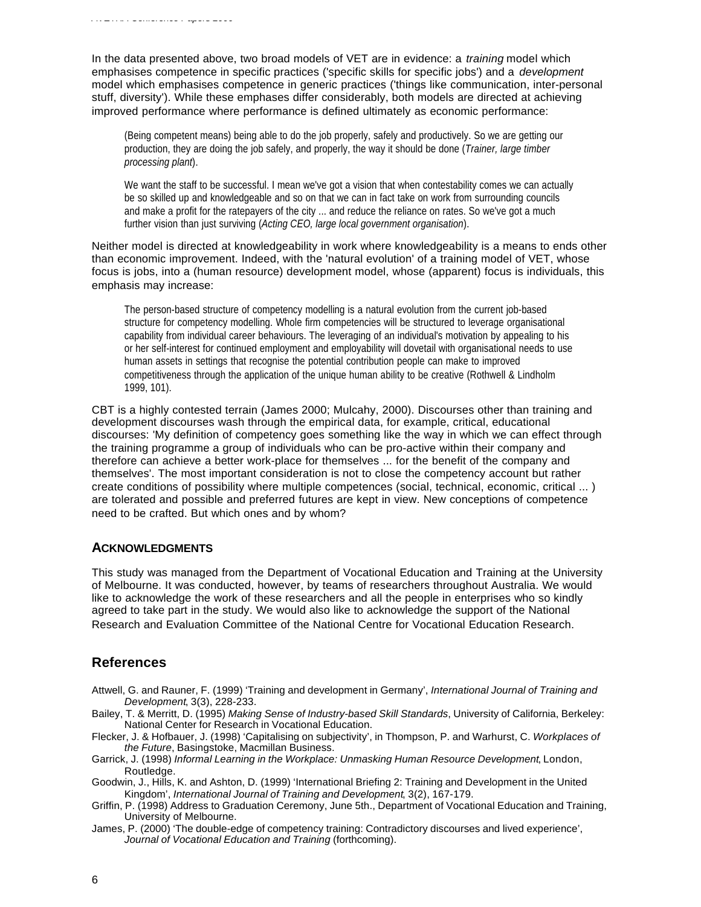In the data presented above, two broad models of VET are in evidence: a *training* model which emphasises competence in specific practices ('specific skills for specific jobs') and a *development* model which emphasises competence in generic practices ('things like communication, inter-personal stuff, diversity'). While these emphases differ considerably, both models are directed at achieving improved performance where performance is defined ultimately as economic performance:

(Being competent means) being able to do the job properly, safely and productively. So we are getting our production, they are doing the job safely, and properly, the way it should be done (*Trainer, large timber processing plant*).

We want the staff to be successful. I mean we've got a vision that when contestability comes we can actually be so skilled up and knowledgeable and so on that we can in fact take on work from surrounding councils and make a profit for the ratepayers of the city ... and reduce the reliance on rates. So we've got a much further vision than just surviving (*Acting CEO, large local government organisation*).

Neither model is directed at knowledgeability in work where knowledgeability is a means to ends other than economic improvement. Indeed, with the 'natural evolution' of a training model of VET, whose focus is jobs, into a (human resource) development model, whose (apparent) focus is individuals, this emphasis may increase:

The person-based structure of competency modelling is a natural evolution from the current job-based structure for competency modelling. Whole firm competencies will be structured to leverage organisational capability from individual career behaviours. The leveraging of an individual's motivation by appealing to his or her self-interest for continued employment and employability will dovetail with organisational needs to use human assets in settings that recognise the potential contribution people can make to improved competitiveness through the application of the unique human ability to be creative (Rothwell & Lindholm 1999, 101).

CBT is a highly contested terrain (James 2000; Mulcahy, 2000). Discourses other than training and development discourses wash through the empirical data, for example, critical, educational discourses: 'My definition of competency goes something like the way in which we can effect through the training programme a group of individuals who can be pro-active within their company and therefore can achieve a better work-place for themselves ... for the benefit of the company and themselves'. The most important consideration is not to close the competency account but rather create conditions of possibility where multiple competences (social, technical, economic, critical ... ) are tolerated and possible and preferred futures are kept in view. New conceptions of competence need to be crafted. But which ones and by whom?

## **ACKNOWLEDGMENTS**

*AVETRA Conference Papers 2000*

This study was managed from the Department of Vocational Education and Training at the University of Melbourne. It was conducted, however, by teams of researchers throughout Australia. We would like to acknowledge the work of these researchers and all the people in enterprises who so kindly agreed to take part in the study. We would also like to acknowledge the support of the National Research and Evaluation Committee of the National Centre for Vocational Education Research.

## **References**

- Attwell, G. and Rauner, F. (1999) 'Training and development in Germany', *International Journal of Training and Development*, 3(3), 228-233.
- Bailey, T. & Merritt, D. (1995) *Making Sense of Industry-based Skill Standards*, University of California, Berkeley: National Center for Research in Vocational Education.
- Flecker, J. & Hofbauer, J. (1998) 'Capitalising on subjectivity', in Thompson, P. and Warhurst, C. *Workplaces of the Future*, Basingstoke, Macmillan Business.
- Garrick, J. (1998) *Informal Learning in the Workplace: Unmasking Human Resource Development*, London, Routledge.
- Goodwin, J., Hills, K. and Ashton, D. (1999) 'International Briefing 2: Training and Development in the United Kingdom', *International Journal of Training and Development*, 3(2), 167-179.
- Griffin, P. (1998) Address to Graduation Ceremony, June 5th., Department of Vocational Education and Training, University of Melbourne.
- James, P. (2000) 'The double-edge of competency training: Contradictory discourses and lived experience', *Journal of Vocational Education and Training* (forthcoming).